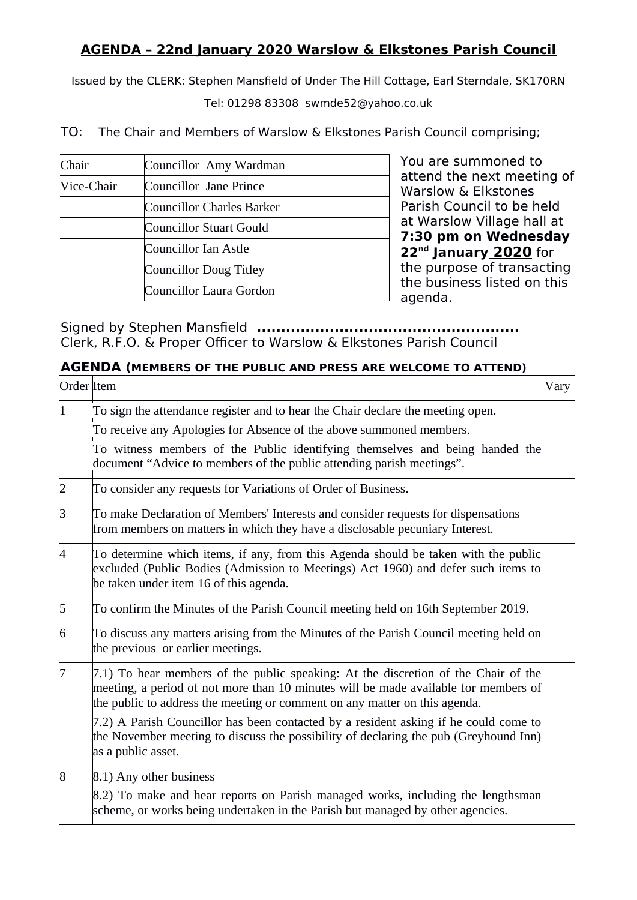## **AGENDA – 22nd January 2020 Warslow & Elkstones Parish Council**

Issued by the CLERK: Stephen Mansfield of Under The Hill Cottage, Earl Sterndale, SK170RN

Tel: 01298 83308 swmde52@yahoo.co.uk

TO: The Chair and Members of Warslow & Elkstones Parish Council comprising;

| Chair      | Councillor Amy Wardman    |
|------------|---------------------------|
| Vice-Chair | Councillor Jane Prince    |
|            | Councillor Charles Barker |
|            | Councillor Stuart Gould   |
|            | Councillor Ian Astle      |
|            | Councillor Doug Titley    |
|            | Councillor Laura Gordon   |

You are summoned to attend the next meeting of Warslow & Elkstones Parish Council to be held at Warslow Village hall at **7:30 pm on Wednesday 22nd January 2020** for the purpose of transacting the business listed on this agenda.

Signed by Stephen Mansfield **......................................................** Clerk, R.F.O. & Proper Officer to Warslow & Elkstones Parish Council

## **AGENDA (MEMBERS OF THE PUBLIC AND PRESS ARE WELCOME TO ATTEND)**

| Order Item |                                                                                                                                                                                                                                                         | Vary |
|------------|---------------------------------------------------------------------------------------------------------------------------------------------------------------------------------------------------------------------------------------------------------|------|
|            | To sign the attendance register and to hear the Chair declare the meeting open.                                                                                                                                                                         |      |
|            | To receive any Apologies for Absence of the above summoned members.                                                                                                                                                                                     |      |
|            | To witness members of the Public identifying themselves and being handed the<br>document "Advice to members of the public attending parish meetings".                                                                                                   |      |
| 2          | To consider any requests for Variations of Order of Business.                                                                                                                                                                                           |      |
| З          | To make Declaration of Members' Interests and consider requests for dispensations<br>from members on matters in which they have a disclosable pecuniary Interest.                                                                                       |      |
| 4          | To determine which items, if any, from this Agenda should be taken with the public<br>excluded (Public Bodies (Admission to Meetings) Act 1960) and defer such items to<br>be taken under item 16 of this agenda.                                       |      |
| 5          | To confirm the Minutes of the Parish Council meeting held on 16th September 2019.                                                                                                                                                                       |      |
| 6          | To discuss any matters arising from the Minutes of the Parish Council meeting held on<br>the previous or earlier meetings.                                                                                                                              |      |
| 17         | 7.1) To hear members of the public speaking: At the discretion of the Chair of the<br>meeting, a period of not more than 10 minutes will be made available for members of<br>the public to address the meeting or comment on any matter on this agenda. |      |
|            | 7.2) A Parish Councillor has been contacted by a resident asking if he could come to<br>the November meeting to discuss the possibility of declaring the pub (Greyhound Inn)<br>as a public asset.                                                      |      |
| $\vert 8$  | 8.1) Any other business                                                                                                                                                                                                                                 |      |
|            | 8.2) To make and hear reports on Parish managed works, including the lengthsman<br>scheme, or works being undertaken in the Parish but managed by other agencies.                                                                                       |      |